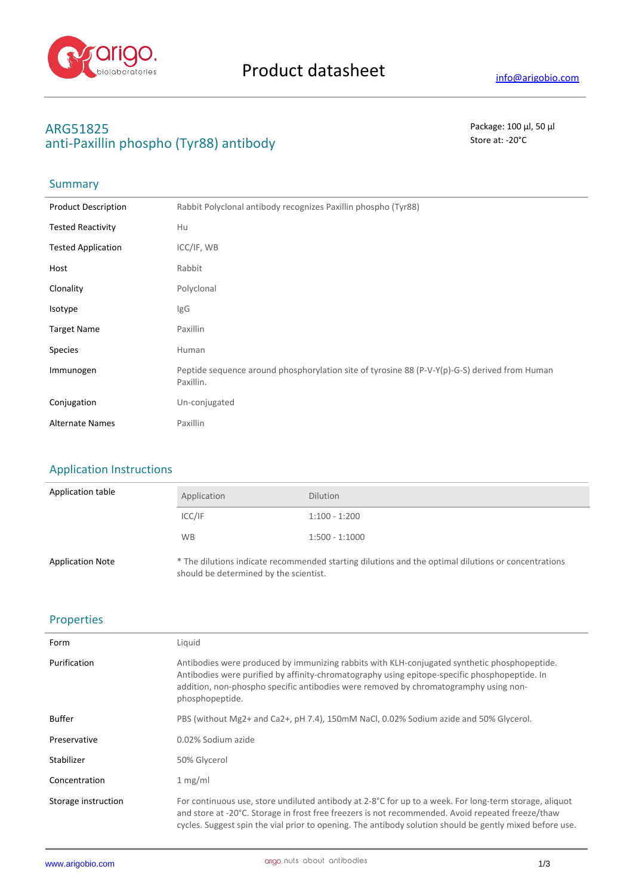

# **ARG51825** Package: 100 μl, 50 μl anti-Paxillin phospho (Tyr88) antibody **Store at:** -20<sup>°</sup>C

## **Summary**

| <b>Product Description</b> | Rabbit Polyclonal antibody recognizes Paxillin phospho (Tyr88)                                             |
|----------------------------|------------------------------------------------------------------------------------------------------------|
| <b>Tested Reactivity</b>   | Hu                                                                                                         |
| <b>Tested Application</b>  | ICC/IF, WB                                                                                                 |
| Host                       | Rabbit                                                                                                     |
| Clonality                  | Polyclonal                                                                                                 |
| Isotype                    | IgG                                                                                                        |
| <b>Target Name</b>         | Paxillin                                                                                                   |
| <b>Species</b>             | Human                                                                                                      |
| Immunogen                  | Peptide sequence around phosphorylation site of tyrosine 88 (P-V-Y(p)-G-S) derived from Human<br>Paxillin. |
| Conjugation                | Un-conjugated                                                                                              |
| <b>Alternate Names</b>     | Paxillin                                                                                                   |

### Application Instructions

| Application table       | Application                            | <b>Dilution</b>                                                                                     |
|-------------------------|----------------------------------------|-----------------------------------------------------------------------------------------------------|
|                         | ICC/IF                                 | $1:100 - 1:200$                                                                                     |
|                         | <b>WB</b>                              | $1:500 - 1:1000$                                                                                    |
| <b>Application Note</b> | should be determined by the scientist. | * The dilutions indicate recommended starting dilutions and the optimal dilutions or concentrations |

#### Properties

| Form                | Liquid                                                                                                                                                                                                                                                                                                                  |
|---------------------|-------------------------------------------------------------------------------------------------------------------------------------------------------------------------------------------------------------------------------------------------------------------------------------------------------------------------|
| Purification        | Antibodies were produced by immunizing rabbits with KLH-conjugated synthetic phosphopeptide.<br>Antibodies were purified by affinity-chromatography using epitope-specific phosphopeptide. In<br>addition, non-phospho specific antibodies were removed by chromatogramphy using non-<br>phosphopeptide.                |
| <b>Buffer</b>       | PBS (without Mg2+ and Ca2+, pH 7.4), 150mM NaCl, 0.02% Sodium azide and 50% Glycerol.                                                                                                                                                                                                                                   |
| Preservative        | 0.02% Sodium azide                                                                                                                                                                                                                                                                                                      |
| Stabilizer          | 50% Glycerol                                                                                                                                                                                                                                                                                                            |
| Concentration       | 1 mg/ml                                                                                                                                                                                                                                                                                                                 |
| Storage instruction | For continuous use, store undiluted antibody at 2-8°C for up to a week. For long-term storage, aliquot<br>and store at -20°C. Storage in frost free freezers is not recommended. Avoid repeated freeze/thaw<br>cycles. Suggest spin the vial prior to opening. The antibody solution should be gently mixed before use. |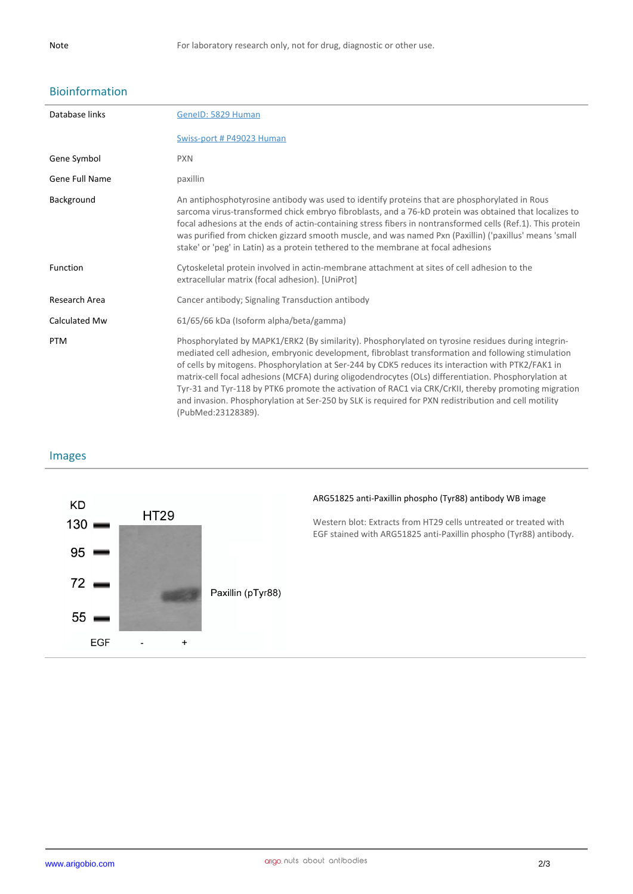# Bioinformation

| Database links | GeneID: 5829 Human                                                                                                                                                                                                                                                                                                                                                                                                                                                                                                                                                                                                                                           |
|----------------|--------------------------------------------------------------------------------------------------------------------------------------------------------------------------------------------------------------------------------------------------------------------------------------------------------------------------------------------------------------------------------------------------------------------------------------------------------------------------------------------------------------------------------------------------------------------------------------------------------------------------------------------------------------|
|                | Swiss-port # P49023 Human                                                                                                                                                                                                                                                                                                                                                                                                                                                                                                                                                                                                                                    |
| Gene Symbol    | <b>PXN</b>                                                                                                                                                                                                                                                                                                                                                                                                                                                                                                                                                                                                                                                   |
| Gene Full Name | paxillin                                                                                                                                                                                                                                                                                                                                                                                                                                                                                                                                                                                                                                                     |
| Background     | An antiphosphotyrosine antibody was used to identify proteins that are phosphorylated in Rous<br>sarcoma virus-transformed chick embryo fibroblasts, and a 76-kD protein was obtained that localizes to<br>focal adhesions at the ends of actin-containing stress fibers in nontransformed cells (Ref.1). This protein<br>was purified from chicken gizzard smooth muscle, and was named Pxn (Paxillin) ('paxillus' means 'small<br>stake' or 'peg' in Latin) as a protein tethered to the membrane at focal adhesions                                                                                                                                       |
| Function       | Cytoskeletal protein involved in actin-membrane attachment at sites of cell adhesion to the<br>extracellular matrix (focal adhesion). [UniProt]                                                                                                                                                                                                                                                                                                                                                                                                                                                                                                              |
| Research Area  | Cancer antibody; Signaling Transduction antibody                                                                                                                                                                                                                                                                                                                                                                                                                                                                                                                                                                                                             |
| Calculated Mw  | 61/65/66 kDa (Isoform alpha/beta/gamma)                                                                                                                                                                                                                                                                                                                                                                                                                                                                                                                                                                                                                      |
| <b>PTM</b>     | Phosphorylated by MAPK1/ERK2 (By similarity). Phosphorylated on tyrosine residues during integrin-<br>mediated cell adhesion, embryonic development, fibroblast transformation and following stimulation<br>of cells by mitogens. Phosphorylation at Ser-244 by CDK5 reduces its interaction with PTK2/FAK1 in<br>matrix-cell focal adhesions (MCFA) during oligodendrocytes (OLs) differentiation. Phosphorylation at<br>Tyr-31 and Tyr-118 by PTK6 promote the activation of RAC1 via CRK/CrKII, thereby promoting migration<br>and invasion. Phosphorylation at Ser-250 by SLK is required for PXN redistribution and cell motility<br>(PubMed:23128389). |

### Images